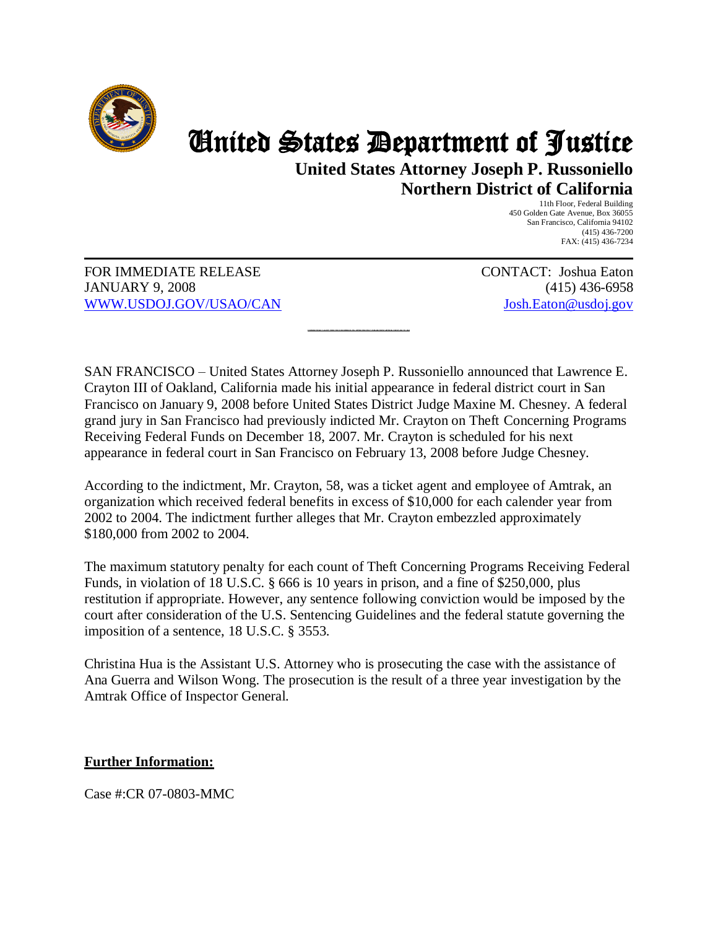

## United States Department of Justice

**United States Attorney Joseph P. Russoniello Northern District of California** 

> 11th Floor, Federal Building 450 Golden Gate Avenue, Box 36055 San Francisco, California 94102 (415) 436-7200 FAX: (415) 436-7234

FOR IMMEDIATE RELEASE JANUARY 9, 2008 [WWW.USDOJ.GOV/USAO/CAN](http://www.usdoj.gov/usao/can) CONTACT: Joshua Eaton (415) 436-6958 [Josh.Eaton@usdoj.gov](mailto:Josh.Eaton@usdoj.gov)

SAN FRANCISCO – United States Attorney Joseph P. Russoniello announced that Lawrence E. Crayton III of Oakland, California made his initial appearance in federal district court in San Francisco on January 9, 2008 before United States District Judge Maxine M. Chesney. A federal grand jury in San Francisco had previously indicted Mr. Crayton on Theft Concerning Programs Receiving Federal Funds on December 18, 2007. Mr. Crayton is scheduled for his next appearance in federal court in San Francisco on February 13, 2008 before Judge Chesney.

**FORMER TICKE T AGENT INDICTED FOR EMBEZZL ING APPRO XIM ATEL Y \$180,000 FROM AMTRAK FROM 2002 TO 2004** 

According to the indictment, Mr. Crayton, 58, was a ticket agent and employee of Amtrak, an organization which received federal benefits in excess of \$10,000 for each calender year from 2002 to 2004. The indictment further alleges that Mr. Crayton embezzled approximately \$180,000 from 2002 to 2004.

The maximum statutory penalty for each count of Theft Concerning Programs Receiving Federal Funds, in violation of 18 U.S.C. § 666 is 10 years in prison, and a fine of \$250,000, plus restitution if appropriate. However, any sentence following conviction would be imposed by the court after consideration of the U.S. Sentencing Guidelines and the federal statute governing the imposition of a sentence, 18 U.S.C. § 3553.

Christina Hua is the Assistant U.S. Attorney who is prosecuting the case with the assistance of Ana Guerra and Wilson Wong. The prosecution is the result of a three year investigation by the Amtrak Office of Inspector General.

## **Further Information:**

Case #:CR 07-0803-MMC